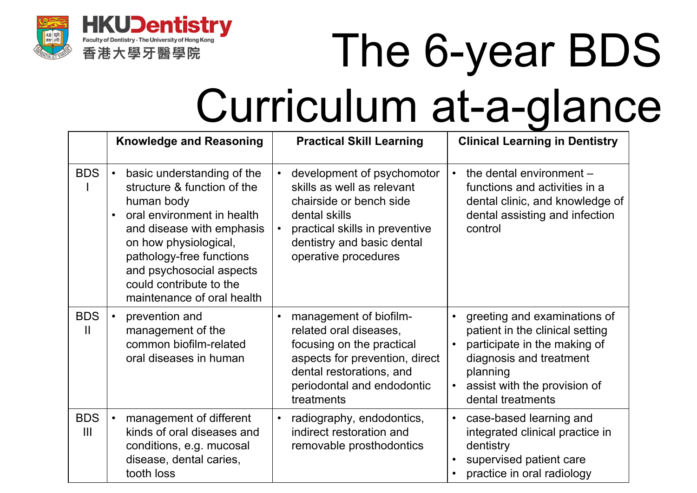

## The 6-year BDS Curriculum at-a-glance

|                 | <b>Knowledge and Reasoning</b>                                                                                                                                                                                                                                                                         | <b>Practical Skill Learning</b>                                                                                                                                                                                        | <b>Clinical Learning in Dentistry</b>                                                                                                                                                                    |
|-----------------|--------------------------------------------------------------------------------------------------------------------------------------------------------------------------------------------------------------------------------------------------------------------------------------------------------|------------------------------------------------------------------------------------------------------------------------------------------------------------------------------------------------------------------------|----------------------------------------------------------------------------------------------------------------------------------------------------------------------------------------------------------|
| <b>BDS</b>      | basic understanding of the<br>$\bullet$<br>structure & function of the<br>human body<br>oral environment in health<br>$\bullet$<br>and disease with emphasis<br>on how physiological,<br>pathology-free functions<br>and psychosocial aspects<br>could contribute to the<br>maintenance of oral health | development of psychomotor<br>$\bullet$<br>skills as well as relevant<br>chairside or bench side<br>dental skills<br>practical skills in preventive<br>$\bullet$<br>dentistry and basic dental<br>operative procedures | the dental environment -<br>$\bullet$<br>functions and activities in a<br>dental clinic, and knowledge of<br>dental assisting and infection<br>control                                                   |
| <b>BDS</b><br>Ш | prevention and<br>$\bullet$<br>management of the<br>common biofilm-related<br>oral diseases in human                                                                                                                                                                                                   | management of biofilm-<br>related oral diseases,<br>focusing on the practical<br>aspects for prevention, direct<br>dental restorations, and<br>periodontal and endodontic<br>treatments                                | greeting and examinations of<br>patient in the clinical setting<br>participate in the making of<br>diagnosis and treatment<br>planning<br>assist with the provision of<br>$\bullet$<br>dental treatments |
| <b>BDS</b><br>Ш | management of different<br>$\bullet$<br>kinds of oral diseases and<br>conditions, e.g. mucosal<br>disease, dental caries,<br>tooth loss                                                                                                                                                                | radiography, endodontics,<br>$\bullet$<br>indirect restoration and<br>removable prosthodontics                                                                                                                         | case-based learning and<br>$\bullet$<br>integrated clinical practice in<br>dentistry<br>supervised patient care<br>practice in oral radiology                                                            |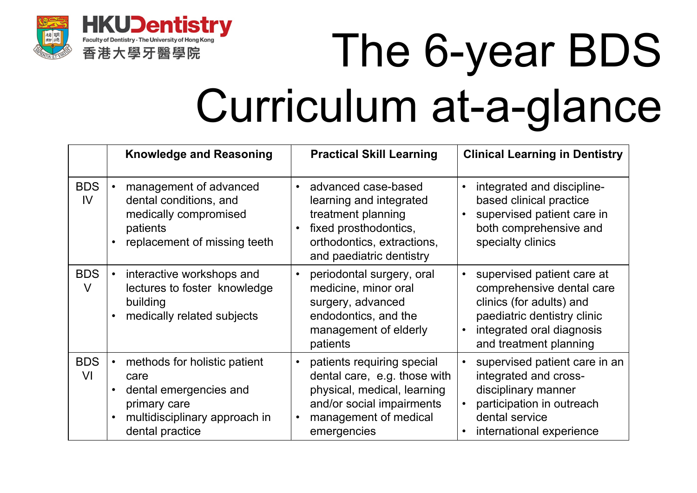

# The 6-year BDS Curriculum at-a-glance

|                              | <b>Knowledge and Reasoning</b>                                                                                                                               | <b>Practical Skill Learning</b>                                                                                                                                      | <b>Clinical Learning in Dentistry</b>                                                                                                                                     |
|------------------------------|--------------------------------------------------------------------------------------------------------------------------------------------------------------|----------------------------------------------------------------------------------------------------------------------------------------------------------------------|---------------------------------------------------------------------------------------------------------------------------------------------------------------------------|
| <b>BDS</b><br>IV <sub></sub> | management of advanced<br>dental conditions, and<br>medically compromised<br>patients<br>replacement of missing teeth                                        | advanced case-based<br>$\bullet$<br>learning and integrated<br>treatment planning<br>fixed prosthodontics,<br>orthodontics, extractions,<br>and paediatric dentistry | integrated and discipline-<br>based clinical practice<br>supervised patient care in<br>both comprehensive and<br>specialty clinics                                        |
| <b>BDS</b><br>$\vee$         | interactive workshops and<br>$\bullet$<br>lectures to foster knowledge<br>building<br>medically related subjects                                             | periodontal surgery, oral<br>medicine, minor oral<br>surgery, advanced<br>endodontics, and the<br>management of elderly<br>patients                                  | supervised patient care at<br>comprehensive dental care<br>clinics (for adults) and<br>paediatric dentistry clinic<br>integrated oral diagnosis<br>and treatment planning |
| <b>BDS</b><br>VI             | methods for holistic patient<br>$\bullet$<br>care<br>dental emergencies and<br>$\bullet$<br>primary care<br>multidisciplinary approach in<br>dental practice | patients requiring special<br>dental care, e.g. those with<br>physical, medical, learning<br>and/or social impairments<br>management of medical<br>emergencies       | supervised patient care in an<br>integrated and cross-<br>disciplinary manner<br>participation in outreach<br>dental service<br>international experience                  |